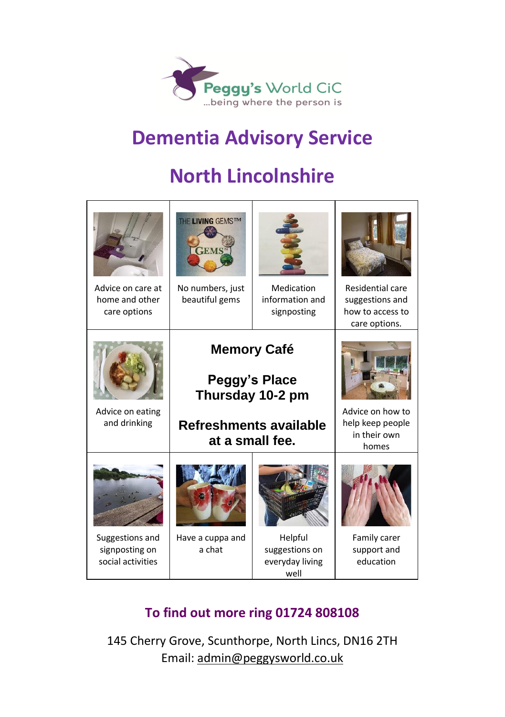

## **Dementia Advisory Service**

# **North Lincolnshire**

| Advice on care at<br>home and other<br>care options    | THE LIVING GEMSTM<br>FEM:<br>No numbers, just<br>beautiful gems                                             | Medication<br>information and<br>signposting         | Residential care<br>suggestions and<br>how to access to<br>care options. |
|--------------------------------------------------------|-------------------------------------------------------------------------------------------------------------|------------------------------------------------------|--------------------------------------------------------------------------|
| Advice on eating<br>and drinking                       | <b>Memory Café</b><br><b>Peggy's Place</b><br>Thursday 10-2 pm<br>Refreshments available<br>at a small fee. |                                                      | Advice on how to<br>help keep people<br>in their own<br>homes            |
| Suggestions and<br>signposting on<br>social activities | Have a cuppa and<br>a chat                                                                                  | Helpful<br>suggestions on<br>everyday living<br>well | Family carer<br>support and<br>education                                 |

#### **To find out more ring 01724 808108**

145 Cherry Grove, Scunthorpe, North Lincs, DN16 2TH Email: [admin@peggysworld.co.uk](mailto:admin@peggysworld.co.uk)